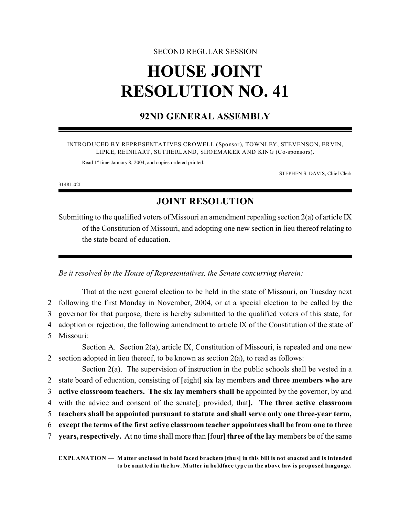#### SECOND REGULAR SESSION

# **HOUSE JOINT RESOLUTION NO. 41**

### **92ND GENERAL ASSEMBLY**

INTRODUCED BY REPRESENTATIVES CROWELL (Sponsor), TOWNLEY, STEVENSON, ERVIN, LIPKE, REINHART, SUTHERLAND, SHOEMAKER AND KING (Co-sponsors).

Read 1<sup>st</sup> time January 8, 2004, and copies ordered printed.

STEPHEN S. DAVIS, Chief Clerk

3148L.02I

## **JOINT RESOLUTION**

Submitting to the qualified voters of Missouri an amendment repealing section 2(a) of article IX of the Constitution of Missouri, and adopting one new section in lieu thereof relating to the state board of education.

*Be it resolved by the House of Representatives, the Senate concurring therein:*

That at the next general election to be held in the state of Missouri, on Tuesday next 2 following the first Monday in November, 2004, or at a special election to be called by the 3 governor for that purpose, there is hereby submitted to the qualified voters of this state, for 4 adoption or rejection, the following amendment to article IX of the Constitution of the state of 5 Missouri: Section A. Section 2(a), article IX, Constitution of Missouri, is repealed and one new 2 section adopted in lieu thereof, to be known as section  $2(a)$ , to read as follows: Section  $2(a)$ . The supervision of instruction in the public schools shall be vested in a 2 state board of education, consisting of **[**eight**] six** lay members **and three members who are**

3 **active classroom teachers. The six lay members shall be** appointed by the governor, by and

4 with the advice and consent of the senate**[**; provided, that**]. The three active classroom**

5 **teachers shall be appointed pursuant to statute and shall serve only one three-year term,**

6 **except the terms of the first active classroom teacher appointees shall be from one to three**

7 **years, respectively.** At no time shall more than **[**four**] three of the lay** members be of the same

**EXPLANATION — Matter enclosed in bold faced brackets [thus] in this bill is not enacted and is intended to be omitted in the law. Matter in boldface type in the above law is proposed language.**